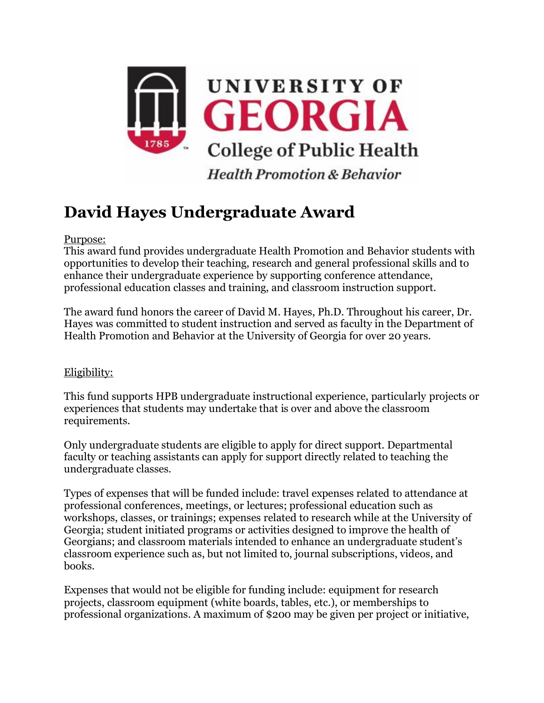

## **David Hayes Undergraduate Award**

## Purpose:

This award fund provides undergraduate Health Promotion and Behavior students with opportunities to develop their teaching, research and general professional skills and to enhance their undergraduate experience by supporting conference attendance, professional education classes and training, and classroom instruction support.

The award fund honors the career of David M. Hayes, Ph.D. Throughout his career, Dr. Hayes was committed to student instruction and served as faculty in the Department of Health Promotion and Behavior at the University of Georgia for over 20 years.

## Eligibility:

This fund supports HPB undergraduate instructional experience, particularly projects or experiences that students may undertake that is over and above the classroom requirements.

Only undergraduate students are eligible to apply for direct support. Departmental faculty or teaching assistants can apply for support directly related to teaching the undergraduate classes.

Types of expenses that will be funded include: travel expenses related to attendance at professional conferences, meetings, or lectures; professional education such as workshops, classes, or trainings; expenses related to research while at the University of Georgia; student initiated programs or activities designed to improve the health of Georgians; and classroom materials intended to enhance an undergraduate student's classroom experience such as, but not limited to, journal subscriptions, videos, and books.

Expenses that would not be eligible for funding include: equipment for research projects, classroom equipment (white boards, tables, etc.), or memberships to professional organizations. A maximum of \$200 may be given per project or initiative,